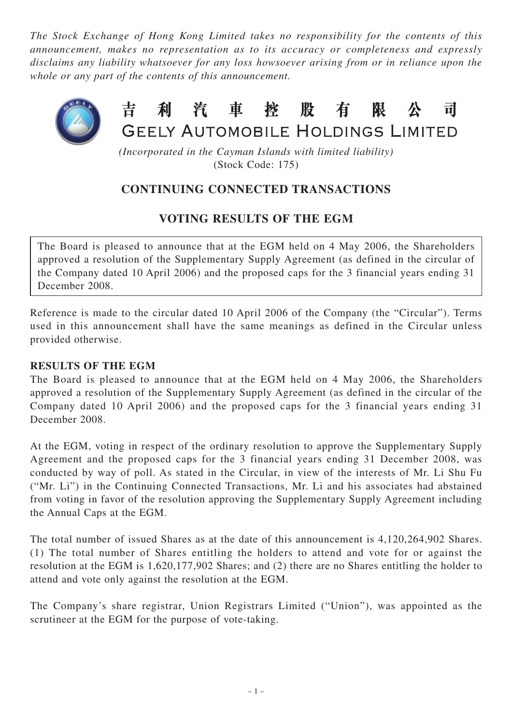*The Stock Exchange of Hong Kong Limited takes no responsibility for the contents of this announcement, makes no representation as to its accuracy or completeness and expressly disclaims any liability whatsoever for any loss howsoever arising from or in reliance upon the whole or any part of the contents of this announcement.*



#### 吉利汽車控股有 限 र्ची **GEELY AUTOMOBILE HOLDINGS LIMITED**

*(Incorporated in the Cayman Islands with limited liability)* (Stock Code: 175)

# **CONTINUING CONNECTED TRANSACTIONS**

## **VOTING RESULTS OF THE EGM**

The Board is pleased to announce that at the EGM held on 4 May 2006, the Shareholders approved a resolution of the Supplementary Supply Agreement (as defined in the circular of the Company dated 10 April 2006) and the proposed caps for the 3 financial years ending 31 December 2008.

Reference is made to the circular dated 10 April 2006 of the Company (the "Circular"). Terms used in this announcement shall have the same meanings as defined in the Circular unless provided otherwise.

## **RESULTS OF THE EGM**

The Board is pleased to announce that at the EGM held on 4 May 2006, the Shareholders approved a resolution of the Supplementary Supply Agreement (as defined in the circular of the Company dated 10 April 2006) and the proposed caps for the 3 financial years ending 31 December 2008.

At the EGM, voting in respect of the ordinary resolution to approve the Supplementary Supply Agreement and the proposed caps for the 3 financial years ending 31 December 2008, was conducted by way of poll. As stated in the Circular, in view of the interests of Mr. Li Shu Fu ("Mr. Li") in the Continuing Connected Transactions, Mr. Li and his associates had abstained from voting in favor of the resolution approving the Supplementary Supply Agreement including the Annual Caps at the EGM.

The total number of issued Shares as at the date of this announcement is 4,120,264,902 Shares. (1) The total number of Shares entitling the holders to attend and vote for or against the resolution at the EGM is 1,620,177,902 Shares; and (2) there are no Shares entitling the holder to attend and vote only against the resolution at the EGM.

The Company's share registrar, Union Registrars Limited ("Union"), was appointed as the scrutineer at the EGM for the purpose of vote-taking.